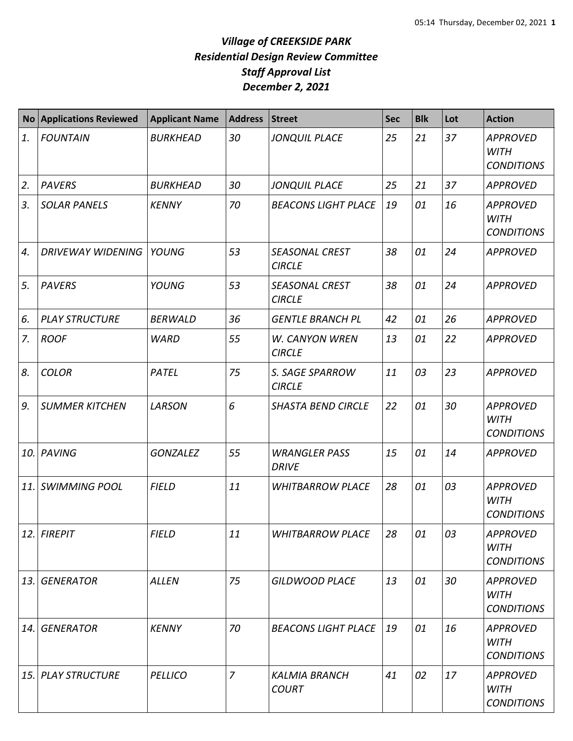| <b>No</b>  | <b>Applications Reviewed</b> | <b>Applicant Name</b> | <b>Address</b> | <b>Street</b>                          | <b>Sec</b> | <b>Blk</b> | Lot | <b>Action</b>                                       |
|------------|------------------------------|-----------------------|----------------|----------------------------------------|------------|------------|-----|-----------------------------------------------------|
| 1.         | <b>FOUNTAIN</b>              | <b>BURKHEAD</b>       | 30             | <b>JONQUIL PLACE</b>                   | 25         | 21         | 37  | <b>APPROVED</b><br><b>WITH</b><br><b>CONDITIONS</b> |
| 2.         | <b>PAVERS</b>                | <b>BURKHEAD</b>       | 30             | <b>JONQUIL PLACE</b>                   | 25         | 21         | 37  | <b>APPROVED</b>                                     |
| 3.         | <b>SOLAR PANELS</b>          | <b>KENNY</b>          | 70             | <b>BEACONS LIGHT PLACE</b>             | 19         | 01         | 16  | <b>APPROVED</b><br><b>WITH</b><br><b>CONDITIONS</b> |
| 4.         | <b>DRIVEWAY WIDENING</b>     | <b>YOUNG</b>          | 53             | <b>SEASONAL CREST</b><br><b>CIRCLE</b> | 38         | 01         | 24  | <b>APPROVED</b>                                     |
| 5.         | <b>PAVERS</b>                | <b>YOUNG</b>          | 53             | <b>SEASONAL CREST</b><br><b>CIRCLE</b> | 38         | 01         | 24  | <b>APPROVED</b>                                     |
| 6.         | <b>PLAY STRUCTURE</b>        | <b>BERWALD</b>        | 36             | <b>GENTLE BRANCH PL</b>                | 42         | 01         | 26  | <b>APPROVED</b>                                     |
| 7.         | <b>ROOF</b>                  | <b>WARD</b>           | 55             | W. CANYON WREN<br><b>CIRCLE</b>        | 13         | 01         | 22  | <b>APPROVED</b>                                     |
| 8.         | <b>COLOR</b>                 | PATEL                 | 75             | S. SAGE SPARROW<br><b>CIRCLE</b>       | 11         | 03         | 23  | <b>APPROVED</b>                                     |
| 9.         | <b>SUMMER KITCHEN</b>        | LARSON                | 6              | <b>SHASTA BEND CIRCLE</b>              | 22         | 01         | 30  | <b>APPROVED</b><br><b>WITH</b><br><b>CONDITIONS</b> |
| 10.1       | PAVING                       | <b>GONZALEZ</b>       | 55             | <b>WRANGLER PASS</b><br><b>DRIVE</b>   | 15         | 01         | 14  | <b>APPROVED</b>                                     |
| 11.        | <b>SWIMMING POOL</b>         | <b>FIELD</b>          | 11             | <b>WHITBARROW PLACE</b>                | 28         | 01         | 03  | <b>APPROVED</b><br><b>WITH</b><br><b>CONDITIONS</b> |
|            | 12. FIREPIT                  | <b>FIELD</b>          | 11             | <b>WHITBARROW PLACE</b>                | 28         | 01         | 03  | <b>APPROVED</b><br><b>WITH</b><br><b>CONDITIONS</b> |
| 13.        | <b>GENERATOR</b>             | <b>ALLEN</b>          | 75             | <b>GILDWOOD PLACE</b>                  | 13         | 01         | 30  | <b>APPROVED</b><br><b>WITH</b><br><b>CONDITIONS</b> |
| 14.        | <b>GENERATOR</b>             | <b>KENNY</b>          | 70             | <b>BEACONS LIGHT PLACE</b>             | 19         | 01         | 16  | <b>APPROVED</b><br>WITH<br><b>CONDITIONS</b>        |
| <b>15.</b> | <b>PLAY STRUCTURE</b>        | <b>PELLICO</b>        | $\overline{7}$ | <b>KALMIA BRANCH</b><br><b>COURT</b>   | 41         | 02         | 17  | <b>APPROVED</b><br><b>WITH</b><br><b>CONDITIONS</b> |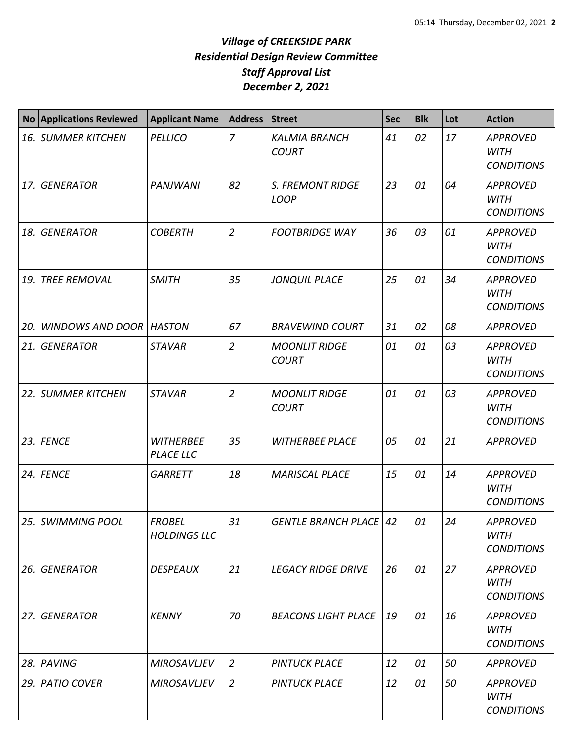|     | No Applications Reviewed       | <b>Applicant Name</b>                | <b>Address</b> | <b>Street</b>                          | <b>Sec</b> | <b>Blk</b> | Lot | <b>Action</b>                                       |
|-----|--------------------------------|--------------------------------------|----------------|----------------------------------------|------------|------------|-----|-----------------------------------------------------|
| 16. | <b>SUMMER KITCHEN</b>          | <b>PELLICO</b>                       | $\overline{7}$ | <b>KALMIA BRANCH</b><br><b>COURT</b>   | 41         | 02         | 17  | <b>APPROVED</b><br><b>WITH</b><br><b>CONDITIONS</b> |
| 17. | <b>GENERATOR</b>               | <b>PANJWANI</b>                      | 82             | <b>S. FREMONT RIDGE</b><br><b>LOOP</b> | 23         | 01         | 04  | <b>APPROVED</b><br><b>WITH</b><br><b>CONDITIONS</b> |
| 18. | <b>GENERATOR</b>               | <b>COBERTH</b>                       | $\overline{2}$ | <b>FOOTBRIDGE WAY</b>                  | 36         | 03         | 01  | <b>APPROVED</b><br><b>WITH</b><br><b>CONDITIONS</b> |
| 19. | <b>TREE REMOVAL</b>            | <b>SMITH</b>                         | 35             | <b>JONQUIL PLACE</b>                   | 25         | 01         | 34  | <b>APPROVED</b><br><b>WITH</b><br><b>CONDITIONS</b> |
| 20. | <b>WINDOWS AND DOOR HASTON</b> |                                      | 67             | <b>BRAVEWIND COURT</b>                 | 31         | 02         | 08  | <b>APPROVED</b>                                     |
| 21. | <b>GENERATOR</b>               | <b>STAVAR</b>                        | $\overline{2}$ | <b>MOONLIT RIDGE</b><br><b>COURT</b>   | 01         | 01         | 03  | <b>APPROVED</b><br><b>WITH</b><br><b>CONDITIONS</b> |
| 22. | <b>SUMMER KITCHEN</b>          | <b>STAVAR</b>                        | $\overline{2}$ | <b>MOONLIT RIDGE</b><br><b>COURT</b>   | 01         | 01         | 03  | <b>APPROVED</b><br><b>WITH</b><br><b>CONDITIONS</b> |
|     | 23. FENCE                      | <b>WITHERBEE</b><br><b>PLACE LLC</b> | 35             | <b>WITHERBEE PLACE</b>                 | 05         | 01         | 21  | <b>APPROVED</b>                                     |
|     | 24. FENCE                      | <b>GARRETT</b>                       | 18             | <b>MARISCAL PLACE</b>                  | 15         | 01         | 14  | <b>APPROVED</b><br><b>WITH</b><br><b>CONDITIONS</b> |
|     | 25. SWIMMING POOL              | <b>FROBEL</b><br><b>HOLDINGS LLC</b> | 31             | <b>GENTLE BRANCH PLACE</b>             | 42         | 01         | 24  | <b>APPROVED</b><br><b>WITH</b><br><b>CONDITIONS</b> |
| 26. | <b>GENERATOR</b>               | <b>DESPEAUX</b>                      | 21             | <b>LEGACY RIDGE DRIVE</b>              | 26         | 01         | 27  | <b>APPROVED</b><br><b>WITH</b><br><b>CONDITIONS</b> |
| 27. | <b>GENERATOR</b>               | <b>KENNY</b>                         | 70             | <b>BEACONS LIGHT PLACE</b>             | 19         | 01         | 16  | <b>APPROVED</b><br><b>WITH</b><br><b>CONDITIONS</b> |
|     | 28. PAVING                     | <b>MIROSAVLJEV</b>                   | $\overline{2}$ | <b>PINTUCK PLACE</b>                   | 12         | 01         | 50  | <b>APPROVED</b>                                     |
|     | 29. PATIO COVER                | <b>MIROSAVLJEV</b>                   | $\overline{2}$ | <b>PINTUCK PLACE</b>                   | 12         | 01         | 50  | <b>APPROVED</b><br><b>WITH</b><br><b>CONDITIONS</b> |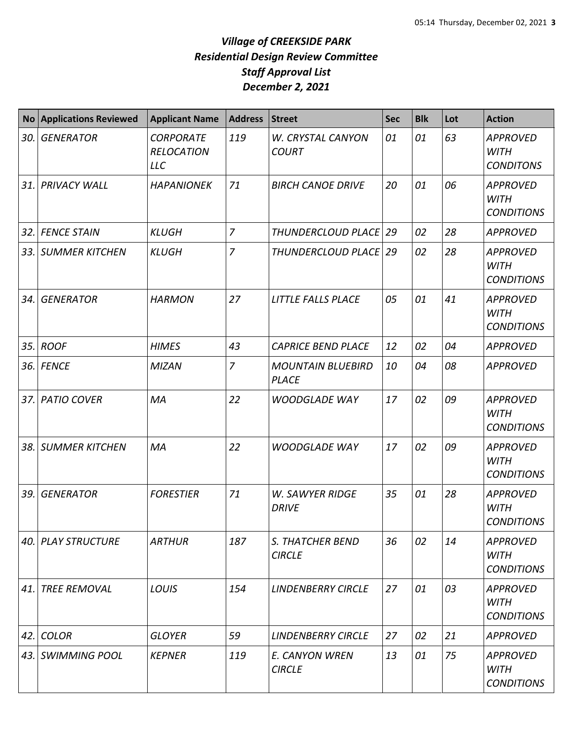| No <sub>1</sub> | <b>Applications Reviewed</b> | <b>Applicant Name</b>                               | <b>Address</b> | Street                                   | <b>Sec</b> | <b>Blk</b> | Lot | <b>Action</b>                                       |
|-----------------|------------------------------|-----------------------------------------------------|----------------|------------------------------------------|------------|------------|-----|-----------------------------------------------------|
| 30.             | <b>GENERATOR</b>             | <b>CORPORATE</b><br><b>RELOCATION</b><br><b>LLC</b> | 119            | W. CRYSTAL CANYON<br><b>COURT</b>        | 01         | 01         | 63  | <b>APPROVED</b><br><b>WITH</b><br><b>CONDITONS</b>  |
|                 | 31. PRIVACY WALL             | <b>HAPANIONEK</b>                                   | 71             | <b>BIRCH CANOE DRIVE</b>                 | 20         | 01         | 06  | <b>APPROVED</b><br><b>WITH</b><br><b>CONDITIONS</b> |
|                 | 32. FENCE STAIN              | <b>KLUGH</b>                                        | $\overline{7}$ | THUNDERCLOUD PLACE   29                  |            | 02         | 28  | <b>APPROVED</b>                                     |
|                 | 33. SUMMER KITCHEN           | <b>KLUGH</b>                                        | $\overline{z}$ | THUNDERCLOUD PLACE 29                    |            | 02         | 28  | <b>APPROVED</b><br><b>WITH</b><br><b>CONDITIONS</b> |
| 34.             | <b>GENERATOR</b>             | <b>HARMON</b>                                       | 27             | LITTLE FALLS PLACE                       | 05         | 01         | 41  | <b>APPROVED</b><br><b>WITH</b><br><b>CONDITIONS</b> |
| 35. l           | <b>ROOF</b>                  | <b>HIMES</b>                                        | 43             | <b>CAPRICE BEND PLACE</b>                | 12         | 02         | 04  | <b>APPROVED</b>                                     |
|                 | <b>36. FENCE</b>             | <b>MIZAN</b>                                        | $\overline{7}$ | <b>MOUNTAIN BLUEBIRD</b><br><b>PLACE</b> | 10         | 04         | 08  | <b>APPROVED</b>                                     |
|                 | 37. PATIO COVER              | MA                                                  | 22             | <b>WOODGLADE WAY</b>                     | 17         | 02         | 09  | <b>APPROVED</b><br><b>WITH</b><br><b>CONDITIONS</b> |
| 38. l           | <b>SUMMER KITCHEN</b>        | MA                                                  | 22             | <b>WOODGLADE WAY</b>                     | 17         | 02         | 09  | <b>APPROVED</b><br><b>WITH</b><br><b>CONDITIONS</b> |
| 39.             | <b>GENERATOR</b>             | <b>FORESTIER</b>                                    | 71             | <b>W. SAWYER RIDGE</b><br><b>DRIVE</b>   | 35         | 01         | 28  | <b>APPROVED</b><br><b>WITH</b><br><b>CONDITIONS</b> |
|                 | 40.   PLAY STRUCTURE         | <b>ARTHUR</b>                                       | 187            | <i>S. THATCHER BEND</i><br><b>CIRCLE</b> | 36         | 02         | 14  | <b>APPROVED</b><br><b>WITH</b><br><b>CONDITIONS</b> |
| 41.             | <b>TREE REMOVAL</b>          | LOUIS                                               | 154            | <b>LINDENBERRY CIRCLE</b>                | 27         | 01         | 03  | <b>APPROVED</b><br><b>WITH</b><br><b>CONDITIONS</b> |
|                 | 42. COLOR                    | <b>GLOYER</b>                                       | 59             | <b>LINDENBERRY CIRCLE</b>                | 27         | 02         | 21  | <b>APPROVED</b>                                     |
|                 | 43. SWIMMING POOL            | <b>KEPNER</b>                                       | 119            | E. CANYON WREN<br><b>CIRCLE</b>          | 13         | 01         | 75  | <b>APPROVED</b><br><b>WITH</b><br><b>CONDITIONS</b> |